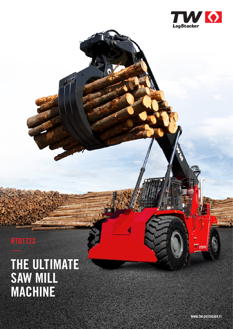

### **RTD1723**

## **THE ULTIMATE SAW MILL MACHINE**

**WWW.TWLOGSTACKER.FI**

RTD1723